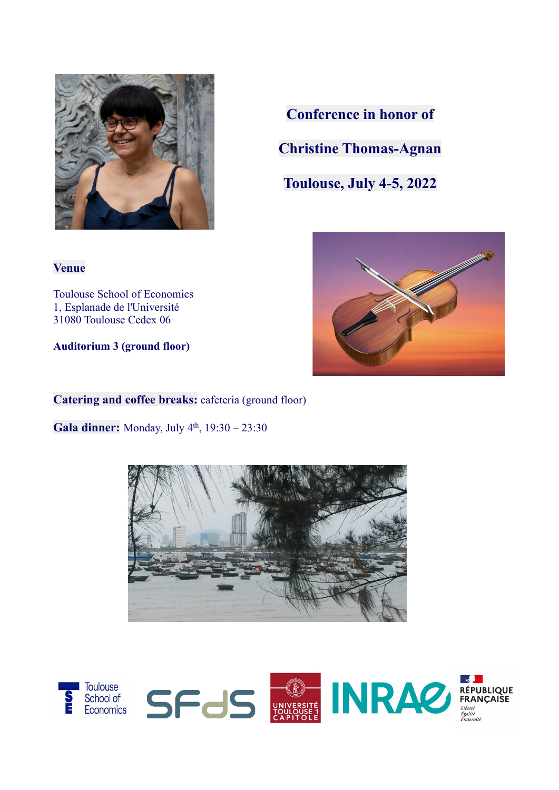

**Conference in honor of Christine Thomas-Agnan**

**Toulouse, July 4-5, 2022**



**Venue**

Toulouse School of Economics 1, Esplanade de l'Université 31080 Toulouse Cedex 06

**Auditorium 3 (ground floor)**

**Catering and coffee breaks:** cafeteria (ground floor)

Gala dinner: Monday, July 4<sup>th</sup>, 19:30 - 23:30



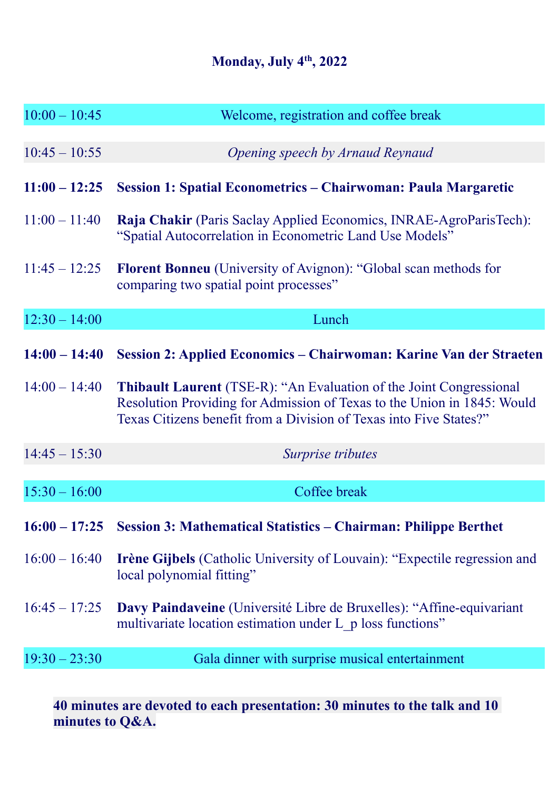## **Monday, July 4th, 2022**

| $10:00 - 10:45$ | Welcome, registration and coffee break                                                                                                                                                                                      |
|-----------------|-----------------------------------------------------------------------------------------------------------------------------------------------------------------------------------------------------------------------------|
|                 |                                                                                                                                                                                                                             |
| $10:45 - 10:55$ | Opening speech by Arnaud Reynaud                                                                                                                                                                                            |
| $11:00 - 12:25$ | Session 1: Spatial Econometrics – Chairwoman: Paula Margaretic                                                                                                                                                              |
| $11:00 - 11:40$ | Raja Chakir (Paris Saclay Applied Economics, INRAE-AgroParisTech):<br>"Spatial Autocorrelation in Econometric Land Use Models"                                                                                              |
| $11:45 - 12:25$ | <b>Florent Bonneu</b> (University of Avignon): "Global scan methods for<br>comparing two spatial point processes"                                                                                                           |
| $12:30 - 14:00$ | Lunch                                                                                                                                                                                                                       |
|                 |                                                                                                                                                                                                                             |
| $14:00 - 14:40$ | Session 2: Applied Economics – Chairwoman: Karine Van der Straeten                                                                                                                                                          |
| $14:00 - 14:40$ | <b>Thibault Laurent</b> (TSE-R): "An Evaluation of the Joint Congressional<br>Resolution Providing for Admission of Texas to the Union in 1845: Would<br>Texas Citizens benefit from a Division of Texas into Five States?" |
| $14:45 - 15:30$ | Surprise tributes                                                                                                                                                                                                           |
|                 |                                                                                                                                                                                                                             |
| $15:30 - 16:00$ | Coffee break                                                                                                                                                                                                                |
|                 | 16:00 – 17:25 Session 3: Mathematical Statistics – Chairman: Philippe Berthet                                                                                                                                               |
| $16:00 - 16:40$ | <b>Irène Gijbels</b> (Catholic University of Louvain): "Expectile regression and<br>local polynomial fitting"                                                                                                               |
| $16:45 - 17:25$ | Davy Paindaveine (Université Libre de Bruxelles): "Affine-equivariant<br>multivariate location estimation under L p loss functions"                                                                                         |
| $19:30 - 23:30$ | Gala dinner with surprise musical entertainment                                                                                                                                                                             |
|                 |                                                                                                                                                                                                                             |

**40 minutes are devoted to each presentation: 30 minutes to the talk and 10 minutes to Q&A.**